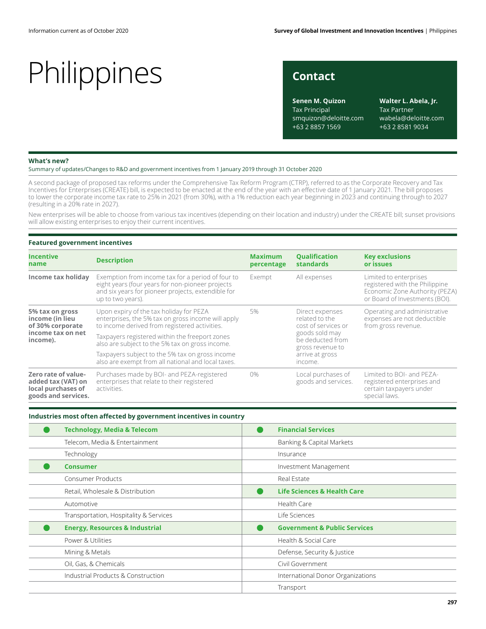**Senen M. Quizon** Tax Principal smquizon@deloitte.com +63 2 8857 1569

**Walter L. Abela, Jr.** Tax Partner wabela@deloitte.com +63 2 8581 9034

#### **What's new?**

Summary of updates/Changes to R&D and government incentives from 1 January 2019 through 31 October 2020

A second package of proposed tax reforms under the Comprehensive Tax Reform Program (CTRP), referred to as the Corporate Recovery and Tax Incentives for Enterprises (CREATE) bill, is expected to be enacted at the end of the year with an effective date of 1 January 2021. The bill proposes to lower the corporate income tax rate to 25% in 2021 (from 30%), with a 1% reduction each year beginning in 2023 and continuing through to 2027 (resulting in a 20% rate in 2027).

New enterprises will be able to choose from various tax incentives (depending on their location and industry) under the CREATE bill; sunset provisions will allow existing enterprises to enjoy their current incentives.

#### **Featured government incentives**

| <b>Incentive</b><br>name                                                                | <b>Description</b>                                                                                                                                                               | <b>Maximum</b><br>percentage | <b>Qualification</b><br><b>standards</b>                                                                                                         | <b>Key exclusions</b><br>or issues<br>Limited to enterprises<br>registered with the Philippine<br>Economic Zone Authority (PEZA)<br>or Board of Investments (BOI). |  |
|-----------------------------------------------------------------------------------------|----------------------------------------------------------------------------------------------------------------------------------------------------------------------------------|------------------------------|--------------------------------------------------------------------------------------------------------------------------------------------------|--------------------------------------------------------------------------------------------------------------------------------------------------------------------|--|
| Income tax holiday                                                                      | Exemption from income tax for a period of four to<br>eight years (four years for non-pioneer projects<br>and six years for pioneer projects, extendible for<br>up to two years). | Exempt                       | All expenses                                                                                                                                     |                                                                                                                                                                    |  |
| 5% tax on gross<br>income (in lieu<br>of 30% corporate<br>income tax on net<br>income). | Upon expiry of the tax holiday for PEZA<br>enterprises, the 5% tax on gross income will apply<br>to income derived from registered activities.                                   | 5%                           | Direct expenses<br>related to the<br>cost of services or<br>goods sold may<br>be deducted from<br>gross revenue to<br>arrive at gross<br>income. | Operating and administrative<br>expenses are not deductible<br>from gross revenue.                                                                                 |  |
|                                                                                         | Taxpayers registered within the freeport zones<br>also are subject to the 5% tax on gross income.                                                                                |                              |                                                                                                                                                  |                                                                                                                                                                    |  |
|                                                                                         | Taxpayers subject to the 5% tax on gross income<br>also are exempt from all national and local taxes.                                                                            |                              |                                                                                                                                                  |                                                                                                                                                                    |  |
| Zero rate of value-<br>added tax (VAT) on<br>local purchases of<br>goods and services.  | Purchases made by BOI- and PEZA-registered<br>enterprises that relate to their registered<br>activities.                                                                         | $0\%$                        | Local purchases of<br>goods and services.                                                                                                        | Limited to BOI- and PEZA-<br>registered enterprises and<br>certain taxpayers under<br>special laws.                                                                |  |

#### **Industries most often affected by government incentives in country**

| <b>Technology, Media &amp; Telecom</b>    | <b>Financial Services</b>               |  |
|-------------------------------------------|-----------------------------------------|--|
| Telecom, Media & Entertainment            | Banking & Capital Markets               |  |
| Technology                                | Insurance                               |  |
| <b>Consumer</b>                           | Investment Management                   |  |
| Consumer Products                         | Real Estate                             |  |
| Retail, Wholesale & Distribution          | Life Sciences & Health Care             |  |
| Automotive                                | Health Care                             |  |
| Transportation, Hospitality & Services    | Life Sciences                           |  |
| <b>Energy, Resources &amp; Industrial</b> | <b>Government &amp; Public Services</b> |  |
| Power & Utilities                         | Health & Social Care                    |  |
| Mining & Metals                           | Defense, Security & Justice             |  |
| Oil, Gas, & Chemicals                     | Civil Government                        |  |
| Industrial Products & Construction        | International Donor Organizations       |  |
|                                           | Transport                               |  |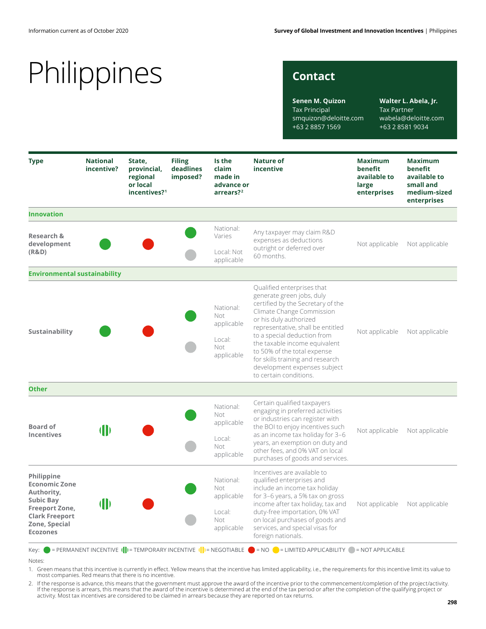# Philippines

### **Contact**

**Senen M. Quizon** Tax Principal smquizon@deloitte.com +63 2 8857 1569

**Walter L. Abela, Jr.** Tax Partner wabela@deloitte.com +63 2 8581 9034

| <b>Type</b>                                                                                                                                         | <b>National</b><br>incentive? | State,<br>provincial,<br>regional<br>or local<br>incentives? <sup>1</sup> | <b>Filing</b><br>deadlines<br>imposed? | Is the<br>claim<br>made in<br>advance or<br>arrears? <sup>2</sup> | <b>Nature of</b><br>incentive                                                                                                                                                                                                                                                                                                                                                         | <b>Maximum</b><br>benefit<br>available to<br>large<br>enterprises | <b>Maximum</b><br>benefit<br>available to<br>small and<br>medium-sized<br>enterprises |
|-----------------------------------------------------------------------------------------------------------------------------------------------------|-------------------------------|---------------------------------------------------------------------------|----------------------------------------|-------------------------------------------------------------------|---------------------------------------------------------------------------------------------------------------------------------------------------------------------------------------------------------------------------------------------------------------------------------------------------------------------------------------------------------------------------------------|-------------------------------------------------------------------|---------------------------------------------------------------------------------------|
| <b>Innovation</b>                                                                                                                                   |                               |                                                                           |                                        |                                                                   |                                                                                                                                                                                                                                                                                                                                                                                       |                                                                   |                                                                                       |
| <b>Research &amp;</b><br>development<br>(R&D)                                                                                                       |                               |                                                                           |                                        | National:<br>Varies<br>Local: Not                                 | Any taxpayer may claim R&D<br>expenses as deductions<br>outright or deferred over<br>60 months.                                                                                                                                                                                                                                                                                       | Not applicable                                                    | Not applicable                                                                        |
|                                                                                                                                                     |                               |                                                                           |                                        | applicable                                                        |                                                                                                                                                                                                                                                                                                                                                                                       |                                                                   |                                                                                       |
| <b>Environmental sustainability</b>                                                                                                                 |                               |                                                                           |                                        |                                                                   |                                                                                                                                                                                                                                                                                                                                                                                       |                                                                   |                                                                                       |
| Sustainability                                                                                                                                      |                               |                                                                           |                                        | National:<br>Not<br>applicable<br>Local:<br>Not<br>applicable     | Qualified enterprises that<br>generate green jobs, duly<br>certified by the Secretary of the<br>Climate Change Commission<br>or his duly authorized<br>representative, shall be entitled<br>to a special deduction from<br>the taxable income equivalent<br>to 50% of the total expense<br>for skills training and research<br>development expenses subject<br>to certain conditions. | Not applicable                                                    | Not applicable                                                                        |
| <b>Other</b>                                                                                                                                        |                               |                                                                           |                                        |                                                                   |                                                                                                                                                                                                                                                                                                                                                                                       |                                                                   |                                                                                       |
| <b>Board of</b><br><b>Incentives</b>                                                                                                                | $\blacksquare$                |                                                                           |                                        | National:<br>Not<br>applicable<br>Local:<br>Not<br>applicable     | Certain qualified taxpayers<br>engaging in preferred activities<br>or industries can register with<br>the BOI to enjoy incentives such<br>as an income tax holiday for 3-6<br>years, an exemption on duty and<br>other fees, and 0% VAT on local<br>purchases of goods and services.                                                                                                  | Not applicable                                                    | Not applicable                                                                        |
| Philippine<br><b>Economic Zone</b><br>Authority,<br><b>Subic Bay</b><br>Freeport Zone,<br><b>Clark Freeport</b><br>Zone, Special<br><b>Ecozones</b> | $\blacksquare$                |                                                                           |                                        | National:<br>Not<br>applicable<br>Local:<br>Not<br>applicable     | Incentives are available to<br>qualified enterprises and<br>include an income tax holiday<br>for 3-6 years, a 5% tax on gross<br>income after tax holiday, tax and<br>duty-free importation, 0% VAT<br>on local purchases of goods and<br>services, and special visas for<br>foreign nationals.                                                                                       | Not applicable                                                    | Not applicable                                                                        |

Key:  $\bullet$  = PERMANENT INCENTIVE  $(\cdot|\cdot)$  = TEMPORARY INCENTIVE  $(\cdot|\cdot)$  = NEGOTIABLE  $\bullet$  = NO  $\bullet$  = LIMITED APPLICABILITY  $\bullet$  = NOT APPLICABLE

1. Green means that this incentive is currently in effect. Yellow means that the incentive has limited applicability, i.e., the requirements for this incentive limit its value to most companies. Red means that there is no incentive.

. If the response is advance, this means that the government must approve the award of the incentive prior to the commencement/completion of the project/activity.<br>If the response is arrears, this means that the award of th activity. Most tax incentives are considered to be claimed in arrears because they are reported on tax returns.

Notes: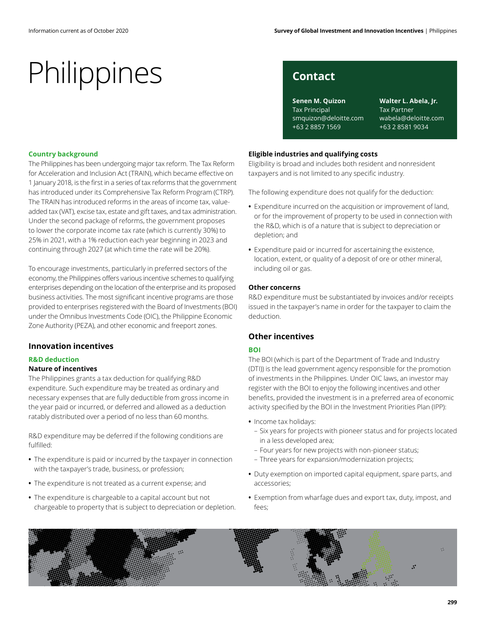### **Country background**

The Philippines has been undergoing major tax reform. The Tax Reform for Acceleration and Inclusion Act (TRAIN), which became effective on 1 January 2018, is the first in a series of tax reforms that the government has introduced under its Comprehensive Tax Reform Program (CTRP). The TRAIN has introduced reforms in the areas of income tax, valueadded tax (VAT), excise tax, estate and gift taxes, and tax administration. Under the second package of reforms, the government proposes to lower the corporate income tax rate (which is currently 30%) to 25% in 2021, with a 1% reduction each year beginning in 2023 and continuing through 2027 (at which time the rate will be 20%).

To encourage investments, particularly in preferred sectors of the economy, the Philippines offers various incentive schemes to qualifying enterprises depending on the location of the enterprise and its proposed business activities. The most significant incentive programs are those provided to enterprises registered with the Board of Investments (BOI) under the Omnibus Investments Code (OIC), the Philippine Economic Zone Authority (PEZA), and other economic and freeport zones.

### **Innovation incentives**

#### **R&D deduction**

#### **Nature of incentives**

The Philippines grants a tax deduction for qualifying R&D expenditure. Such expenditure may be treated as ordinary and necessary expenses that are fully deductible from gross income in the year paid or incurred, or deferred and allowed as a deduction ratably distributed over a period of no less than 60 months.

R&D expenditure may be deferred if the following conditions are fulfilled:

- **•** The expenditure is paid or incurred by the taxpayer in connection with the taxpayer's trade, business, or profession;
- **•** The expenditure is not treated as a current expense; and
- **•** The expenditure is chargeable to a capital account but not chargeable to property that is subject to depreciation or depletion.

**Senen M. Quizon** Tax Principal smquizon@deloitte.com +63 2 8857 1569

**Walter L. Abela, Jr.** Tax Partner wabela@deloitte.com +63 2 8581 9034

#### **Eligible industries and qualifying costs**

Eligibility is broad and includes both resident and nonresident taxpayers and is not limited to any specific industry.

The following expenditure does not qualify for the deduction:

- **•** Expenditure incurred on the acquisition or improvement of land, or for the improvement of property to be used in connection with the R&D, which is of a nature that is subject to depreciation or depletion; and
- **•** Expenditure paid or incurred for ascertaining the existence, location, extent, or quality of a deposit of ore or other mineral, including oil or gas.

#### **Other concerns**

R&D expenditure must be substantiated by invoices and/or receipts issued in the taxpayer's name in order for the taxpayer to claim the deduction.

### **Other incentives**

#### **BOI**

The BOI (which is part of the Department of Trade and Industry (DTI)) is the lead government agency responsible for the promotion of investments in the Philippines. Under OIC laws, an investor may register with the BOI to enjoy the following incentives and other benefits, provided the investment is in a preferred area of economic activity specified by the BOI in the Investment Priorities Plan (IPP):

- **•** Income tax holidays:
	- Six years for projects with pioneer status and for projects located in a less developed area;
	- Four years for new projects with non-pioneer status;
	- Three years for expansion/modernization projects;
- **•** Duty exemption on imported capital equipment, spare parts, and accessories;
- **•** Exemption from wharfage dues and export tax, duty, impost, and fees;

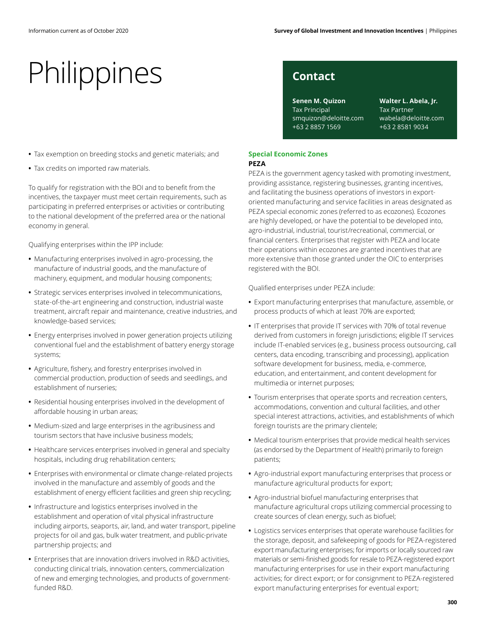- **•** Tax exemption on breeding stocks and genetic materials; and
- **•** Tax credits on imported raw materials.

To qualify for registration with the BOI and to benefit from the incentives, the taxpayer must meet certain requirements, such as participating in preferred enterprises or activities or contributing to the national development of the preferred area or the national economy in general.

Qualifying enterprises within the IPP include:

- **•** Manufacturing enterprises involved in agro-processing, the manufacture of industrial goods, and the manufacture of machinery, equipment, and modular housing components;
- **•** Strategic services enterprises involved in telecommunications, state-of-the-art engineering and construction, industrial waste treatment, aircraft repair and maintenance, creative industries, and knowledge-based services;
- **•** Energy enterprises involved in power generation projects utilizing conventional fuel and the establishment of battery energy storage systems;
- **•** Agriculture, fishery, and forestry enterprises involved in commercial production, production of seeds and seedlings, and establishment of nurseries;
- **•** Residential housing enterprises involved in the development of affordable housing in urban areas;
- **•** Medium-sized and large enterprises in the agribusiness and tourism sectors that have inclusive business models;
- **•** Healthcare services enterprises involved in general and specialty hospitals, including drug rehabilitation centers;
- **•** Enterprises with environmental or climate change-related projects involved in the manufacture and assembly of goods and the establishment of energy efficient facilities and green ship recycling;
- **•** Infrastructure and logistics enterprises involved in the establishment and operation of vital physical infrastructure including airports, seaports, air, land, and water transport, pipeline projects for oil and gas, bulk water treatment, and public-private partnership projects; and
- **•** Enterprises that are innovation drivers involved in R&D activities, conducting clinical trials, innovation centers, commercialization of new and emerging technologies, and products of governmentfunded R&D.

**Senen M. Quizon** Tax Principal smquizon@deloitte.com +63 2 8857 1569

**Walter L. Abela, Jr.** Tax Partner wabela@deloitte.com +63 2 8581 9034

#### **Special Economic Zones PEZA**

PEZA is the government agency tasked with promoting investment, providing assistance, registering businesses, granting incentives, and facilitating the business operations of investors in exportoriented manufacturing and service facilities in areas designated as PEZA special economic zones (referred to as ecozones). Ecozones are highly developed, or have the potential to be developed into, agro-industrial, industrial, tourist/recreational, commercial, or financial centers. Enterprises that register with PEZA and locate their operations within ecozones are granted incentives that are more extensive than those granted under the OIC to enterprises registered with the BOI.

Qualified enterprises under PEZA include:

- **•** Export manufacturing enterprises that manufacture, assemble, or process products of which at least 70% are exported;
- **•** IT enterprises that provide IT services with 70% of total revenue derived from customers in foreign jurisdictions; eligible IT services include IT-enabled services (e.g., business process outsourcing, call centers, data encoding, transcribing and processing), application software development for business, media, e-commerce, education, and entertainment, and content development for multimedia or internet purposes;
- **•** Tourism enterprises that operate sports and recreation centers, accommodations, convention and cultural facilities, and other special interest attractions, activities, and establishments of which foreign tourists are the primary clientele;
- **•** Medical tourism enterprises that provide medical health services (as endorsed by the Department of Health) primarily to foreign patients;
- **•** Agro-industrial export manufacturing enterprises that process or manufacture agricultural products for export;
- **•** Agro-industrial biofuel manufacturing enterprises that manufacture agricultural crops utilizing commercial processing to create sources of clean energy, such as biofuel;
- **•** Logistics services enterprises that operate warehouse facilities for the storage, deposit, and safekeeping of goods for PEZA-registered export manufacturing enterprises; for imports or locally sourced raw materials or semi-finished goods for resale to PEZA-registered export manufacturing enterprises for use in their export manufacturing activities; for direct export; or for consignment to PEZA-registered export manufacturing enterprises for eventual export;